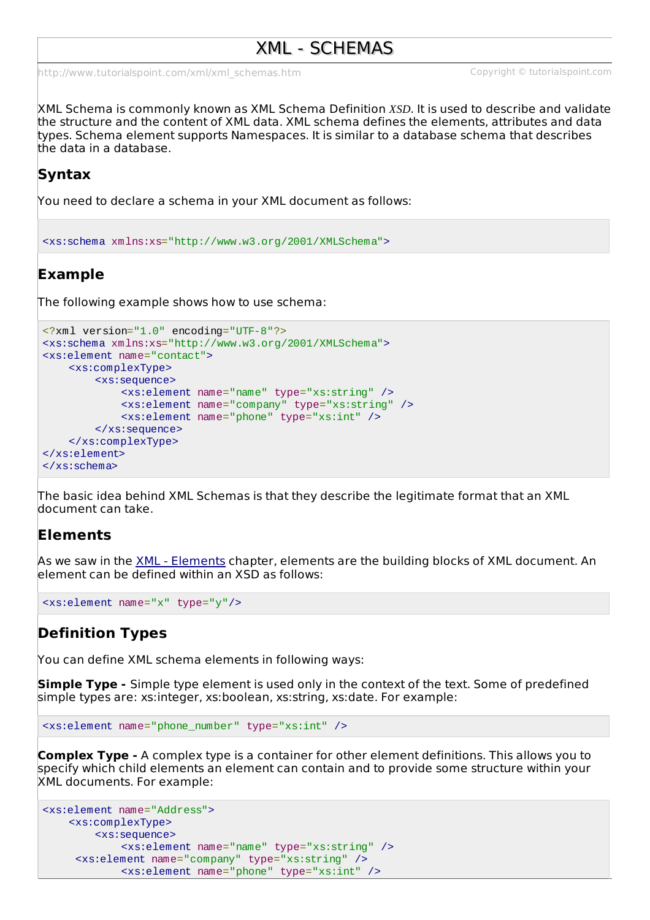# XML - SCHEMAS

[http://www.tutorialspoint.com/xml/xml\\_schemas.htm](http://www.tutorialspoint.com/xml/xml_schemas.htm) Copyright © tutorialspoint.com

XML Schema is commonly known as XML Schema Definition *XSD*. It is used to describe and validate the structure and the content of XML data. XML schema defines the elements, attributes and data types. Schema element supports Namespaces. It is similar to a database schema that describes the data in a database.

## **Syntax**

You need to declare a schema in your XML document as follows:

<xs:schema xmlns:xs="http://www.w3.org/2001/XMLSchema">

## **Example**

The following example shows how to use schema:

```
<?xml version="1.0" encoding="UTF-8"?>
<xs:schema xmlns:xs="http://www.w3.org/2001/XMLSchema">
<xs:element name="contact">
    <xs:complexType>
        <xs:sequence>
            <xs:element name="name" type="xs:string" />
            <xs:element name="company" type="xs:string" />
            <xs:element name="phone" type="xs:int" />
        </xs:sequence>
    </xs:complexType>
</xs:element>
</xs:schema>
```
The basic idea behind XML Schemas is that they describe the legitimate format that an XML document can take.

### **Elements**

As we saw in the XML - [Elements](/xml/xml_elements.htm) chapter, elements are the building blocks of XML document. An element can be defined within an XSD as follows:

```
<xs:element name="x" type="y"/>
```
#### **Definition Types**

You can define XML schema elements in following ways:

**Simple Type -** Simple type element is used only in the context of the text. Some of predefined simple types are: xs:integer, xs:boolean, xs:string, xs:date. For example:

```
<xs:element name="phone_number" type="xs:int" />
```
**Complex Type -** A complex type is a container for other element definitions. This allows you to specify which child elements an element can contain and to provide some structure within your XML documents. For example:

```
<xs:element name="Address">
   <xs:complexType>
        <xs:sequence>
            <xs:element name="name" type="xs:string" />
     <xs:element name="company" type="xs:string" />
            <xs:element name="phone" type="xs:int" />
```